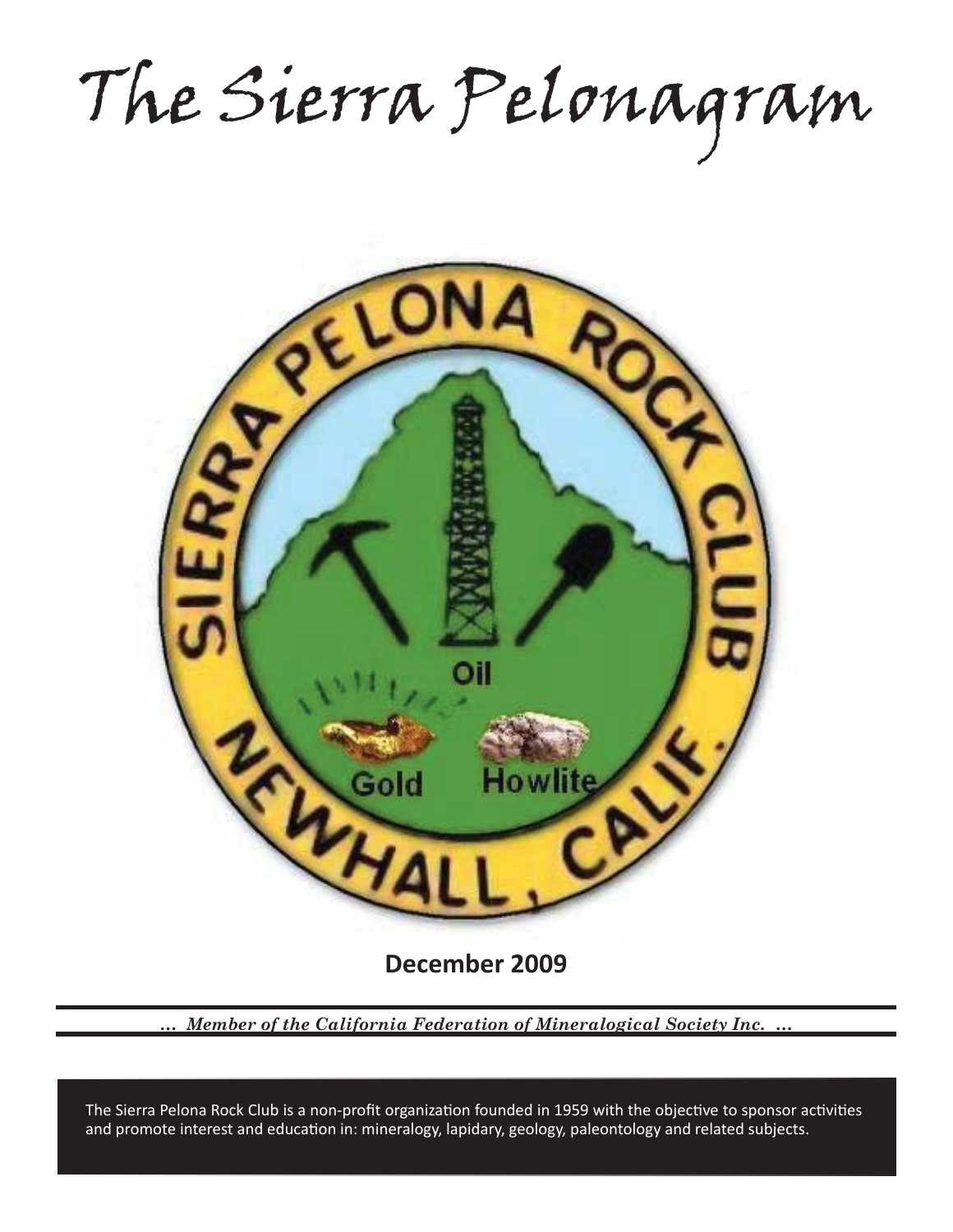The Sierra Pelonagram



**December 2009**

*… Member of the California Federation of Mineralogical Society Inc. …*

and promote interest and education in: mineralogy, lapidary, geology, paleontology and related subjects. The Sierra Pelona Rock Club is a non-profit organization founded in 1959 with the objective to sponsor activities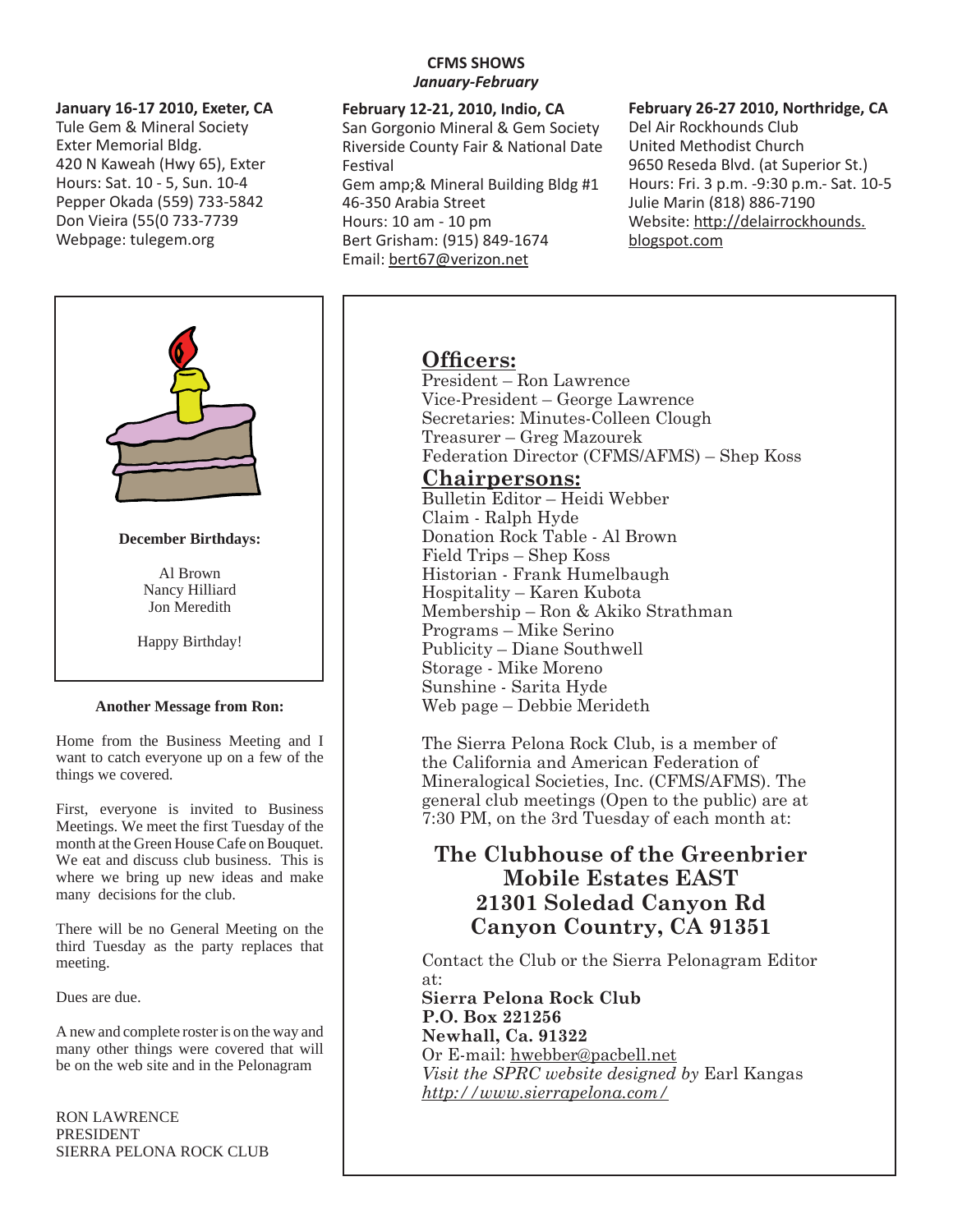## **January 16-17 2010, Exeter, CA**

Tule Gem & Mineral Society Exter Memorial Bldg. 420 N Kaweah (Hwy 65), Exter Hours: Sat. 10 - 5, Sun. 10-4 Pepper Okada (559) 733-5842 Don Vieira (55(0 733-7739 Webpage: tulegem.org



There will be no General Meeting on the third Tuesday as the party replaces that meeting.

Dues are due.

A new and complete roster is on the way and many other things were covered that will be on the web site and in the Pelonagram

RON LAWRENCE PRESIDENT SIERRA PELONA ROCK CLUB

# **CFMS SHOWS**  *January-February*

**February 12-21, 2010, Indio, CA** San Gorgonio Mineral & Gem Society Riverside County Fair & National Date **Festival** Gem amp;& Mineral Building Bldg #1 46-350 Arabia Street Hours: 10 am - 10 pm Bert Grisham: (915) 849-1674 Email: bert67@verizon.net

## **February 26-27 2010, Northridge, CA**

Del Air Rockhounds Club United Methodist Church 9650 Reseda Blvd. (at Superior St.) Hours: Fri. 3 p.m. -9:30 p.m.- Sat. 10-5 Julie Marin (818) 886-7190 Website: http://delairrockhounds. blogspot.com

# **Officers:**

President – Ron Lawrence Vice-President – George Lawrence Secretaries: Minutes-Colleen Clough Treasurer – Greg Mazourek Federation Director (CFMS/AFMS) – Shep Koss

# **Chairpersons:**

Bulletin Editor – Heidi Webber Claim - Ralph Hyde Donation Rock Table - Al Brown Field Trips – Shep Koss Historian - Frank Humelbaugh Hospitality – Karen Kubota Membership – Ron & Akiko Strathman Programs – Mike Serino Publicity – Diane Southwell Storage - Mike Moreno Sunshine - Sarita Hyde Web page – Debbie Merideth

The Sierra Pelona Rock Club, is a member of the California and American Federation of Mineralogical Societies, Inc. (CFMS/AFMS). The general club meetings (Open to the public) are at 7:30 PM, on the 3rd Tuesday of each month at:

# **The Clubhouse of the Greenbrier Mobile Estates EAST 21301 Soledad Canyon Rd Canyon Country, CA 91351**

Contact the Club or the Sierra Pelonagram Editor at:

**Sierra Pelona Rock Club P.O. Box 221256 Newhall, Ca. 91322** Or E-mail: hwebber@pacbell.net *Visit the SPRC website designed by* Earl Kangas *http://www.sierrapelona.com/*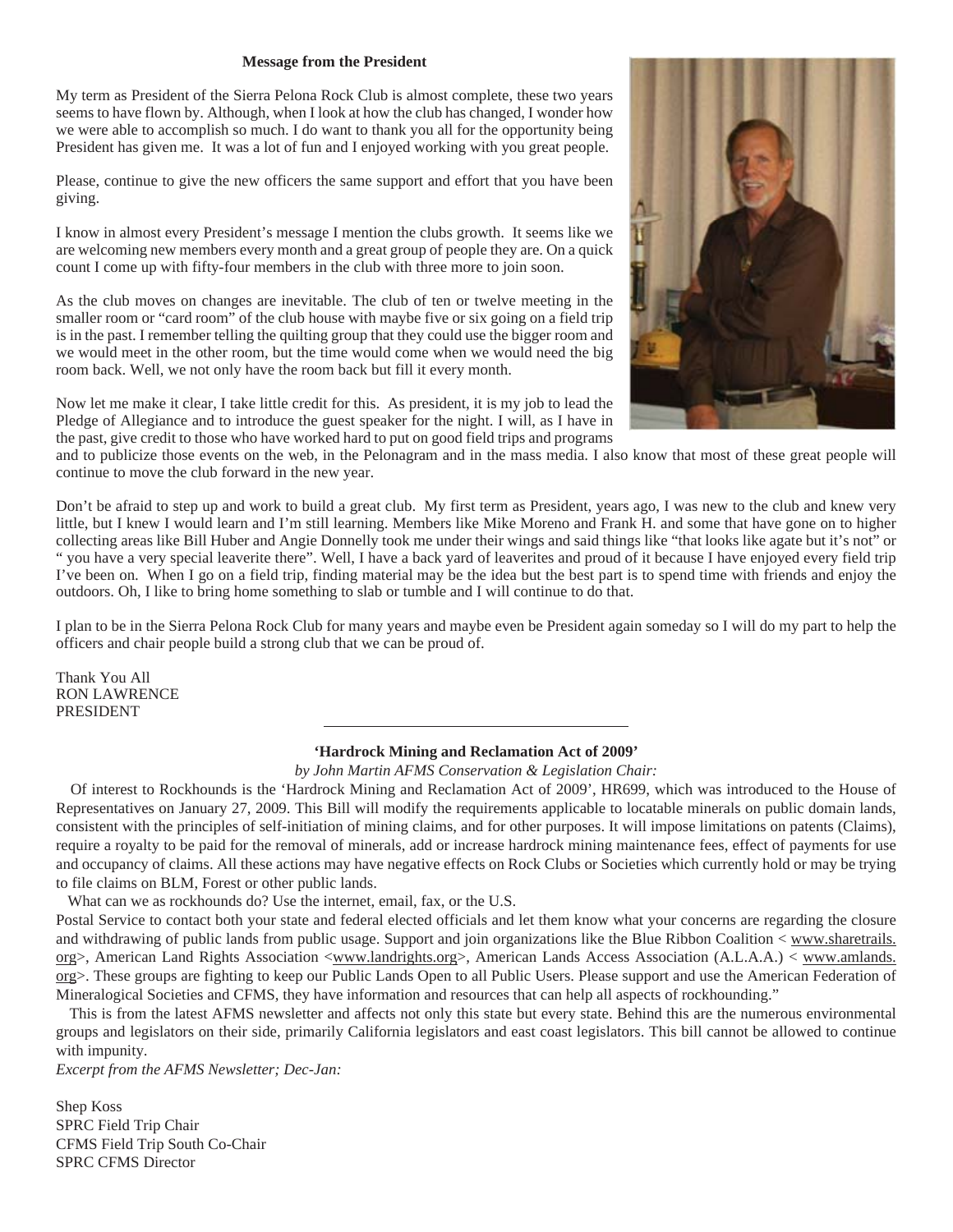#### **Message from the President**

My term as President of the Sierra Pelona Rock Club is almost complete, these two years seems to have flown by. Although, when I look at how the club has changed, I wonder how we were able to accomplish so much. I do want to thank you all for the opportunity being President has given me. It was a lot of fun and I enjoyed working with you great people.

Please, continue to give the new officers the same support and effort that you have been giving.

I know in almost every President's message I mention the clubs growth. It seems like we are welcoming new members every month and a great group of people they are. On a quick count I come up with fifty-four members in the club with three more to join soon.

As the club moves on changes are inevitable. The club of ten or twelve meeting in the smaller room or "card room" of the club house with maybe five or six going on a field trip is in the past. I remember telling the quilting group that they could use the bigger room and we would meet in the other room, but the time would come when we would need the big room back. Well, we not only have the room back but fill it every month.

Now let me make it clear, I take little credit for this. As president, it is my job to lead the Pledge of Allegiance and to introduce the guest speaker for the night. I will, as I have in the past, give credit to those who have worked hard to put on good field trips and programs



and to publicize those events on the web, in the Pelonagram and in the mass media. I also know that most of these great people will continue to move the club forward in the new year.

Don't be afraid to step up and work to build a great club. My first term as President, years ago, I was new to the club and knew very little, but I knew I would learn and I'm still learning. Members like Mike Moreno and Frank H. and some that have gone on to higher collecting areas like Bill Huber and Angie Donnelly took me under their wings and said things like "that looks like agate but it's not" or " you have a very special leaverite there". Well, I have a back yard of leaverites and proud of it because I have enjoyed every field trip I've been on. When I go on a field trip, finding material may be the idea but the best part is to spend time with friends and enjoy the outdoors. Oh, I like to bring home something to slab or tumble and I will continue to do that.

I plan to be in the Sierra Pelona Rock Club for many years and maybe even be President again someday so I will do my part to help the officers and chair people build a strong club that we can be proud of.

Thank You All RON LAWRENCE PRESIDENT

#### **'Hardrock Mining and Reclamation Act of 2009'**

*by John Martin AFMS Conservation & Legislation Chair:*

 Of interest to Rockhounds is the 'Hardrock Mining and Reclamation Act of 2009', HR699, which was introduced to the House of Representatives on January 27, 2009. This Bill will modify the requirements applicable to locatable minerals on public domain lands, consistent with the principles of self-initiation of mining claims, and for other purposes. It will impose limitations on patents (Claims), require a royalty to be paid for the removal of minerals, add or increase hardrock mining maintenance fees, effect of payments for use and occupancy of claims. All these actions may have negative effects on Rock Clubs or Societies which currently hold or may be trying to file claims on BLM, Forest or other public lands.

What can we as rockhounds do? Use the internet, email, fax, or the U.S.

Postal Service to contact both your state and federal elected officials and let them know what your concerns are regarding the closure and withdrawing of public lands from public usage. Support and join organizations like the Blue Ribbon Coalition < www.sharetrails. org>, American Land Rights Association <www.landrights.org>, American Lands Access Association (A.L.A.A.) < www.amlands. org>. These groups are fighting to keep our Public Lands Open to all Public Users. Please support and use the American Federation of Mineralogical Societies and CFMS, they have information and resources that can help all aspects of rockhounding."

 This is from the latest AFMS newsletter and affects not only this state but every state. Behind this are the numerous environmental groups and legislators on their side, primarily California legislators and east coast legislators. This bill cannot be allowed to continue with impunity.

*Excerpt from the AFMS Newsletter; Dec-Jan:*

Shep Koss SPRC Field Trip Chair CFMS Field Trip South Co-Chair SPRC CFMS Director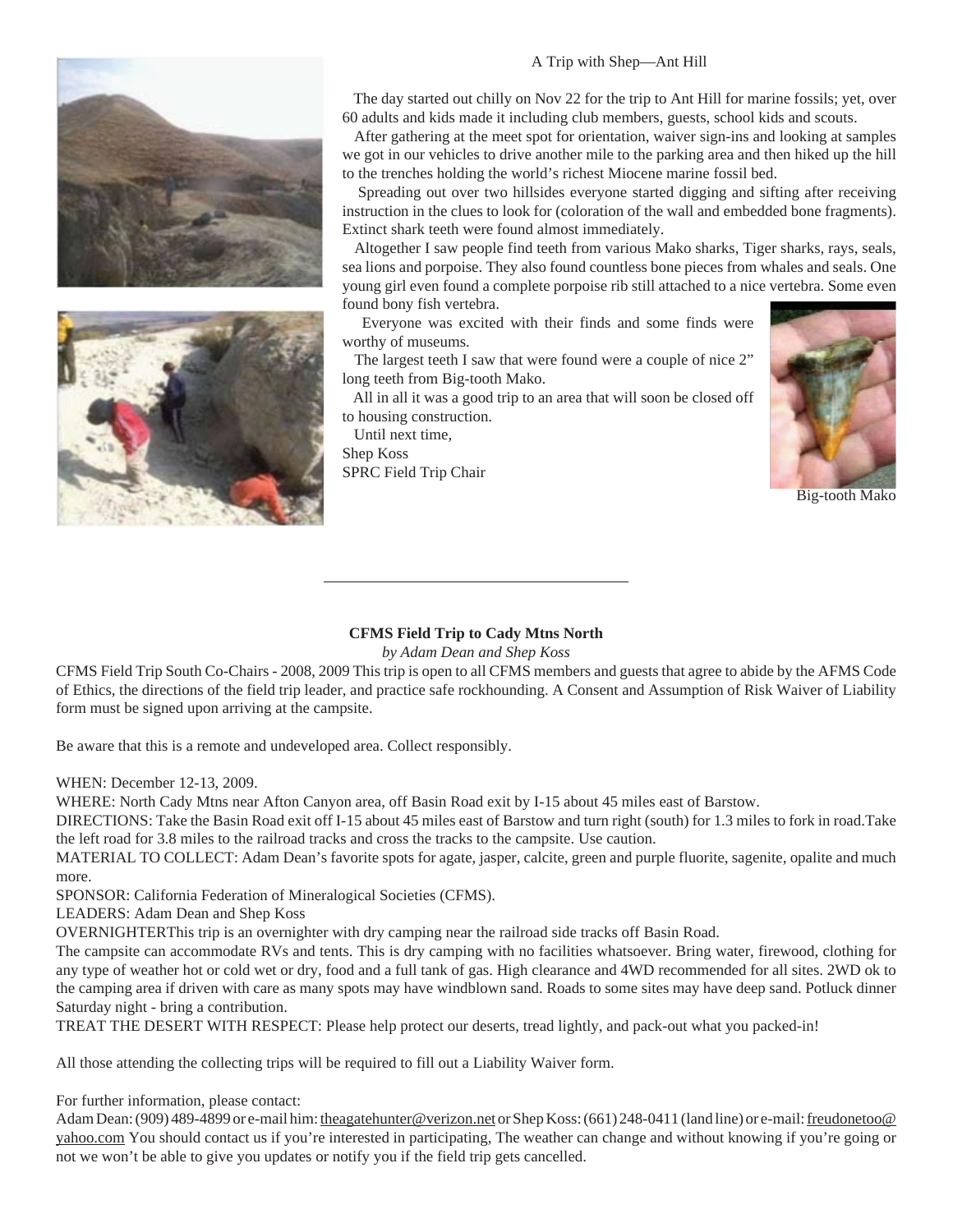



 The day started out chilly on Nov 22 for the trip to Ant Hill for marine fossils; yet, over 60 adults and kids made it including club members, guests, school kids and scouts.

 After gathering at the meet spot for orientation, waiver sign-ins and looking at samples we got in our vehicles to drive another mile to the parking area and then hiked up the hill to the trenches holding the world's richest Miocene marine fossil bed.

 Spreading out over two hillsides everyone started digging and sifting after receiving instruction in the clues to look for (coloration of the wall and embedded bone fragments). Extinct shark teeth were found almost immediately.

 Altogether I saw people find teeth from various Mako sharks, Tiger sharks, rays, seals, sea lions and porpoise. They also found countless bone pieces from whales and seals. One young girl even found a complete porpoise rib still attached to a nice vertebra. Some even found bony fish vertebra.

 Everyone was excited with their finds and some finds were worthy of museums.

 The largest teeth I saw that were found were a couple of nice 2" long teeth from Big-tooth Mako.

 All in all it was a good trip to an area that will soon be closed off to housing construction.

 Until next time, Shep Koss SPRC Field Trip Chair



Big-tooth Mako

### **CFMS Field Trip to Cady Mtns North**

*by Adam Dean and Shep Koss*

CFMS Field Trip South Co-Chairs - 2008, 2009 This trip is open to all CFMS members and guests that agree to abide by the AFMS Code of Ethics, the directions of the field trip leader, and practice safe rockhounding. A Consent and Assumption of Risk Waiver of Liability form must be signed upon arriving at the campsite.

Be aware that this is a remote and undeveloped area. Collect responsibly.

WHEN: December 12-13, 2009.

WHERE: North Cady Mtns near Afton Canyon area, off Basin Road exit by I-15 about 45 miles east of Barstow.

DIRECTIONS: Take the Basin Road exit off I-15 about 45 miles east of Barstow and turn right (south) for 1.3 miles to fork in road.Take the left road for 3.8 miles to the railroad tracks and cross the tracks to the campsite. Use caution.

MATERIAL TO COLLECT: Adam Dean's favorite spots for agate, jasper, calcite, green and purple fluorite, sagenite, opalite and much more.

SPONSOR: California Federation of Mineralogical Societies (CFMS).

LEADERS: Adam Dean and Shep Koss

OVERNIGHTERThis trip is an overnighter with dry camping near the railroad side tracks off Basin Road.

The campsite can accommodate RVs and tents. This is dry camping with no facilities whatsoever. Bring water, firewood, clothing for any type of weather hot or cold wet or dry, food and a full tank of gas. High clearance and 4WD recommended for all sites. 2WD ok to the camping area if driven with care as many spots may have windblown sand. Roads to some sites may have deep sand. Potluck dinner Saturday night - bring a contribution.

TREAT THE DESERT WITH RESPECT: Please help protect our deserts, tread lightly, and pack-out what you packed-in!

All those attending the collecting trips will be required to fill out a Liability Waiver form.

For further information, please contact:

Adam Dean: (909) 489-4899 or e-mail him: theagatehunter@verizon.net or Shep Koss: (661) 248-0411 (land line) or e-mail: freudonetoo@ yahoo.com You should contact us if you're interested in participating, The weather can change and without knowing if you're going or not we won't be able to give you updates or notify you if the field trip gets cancelled.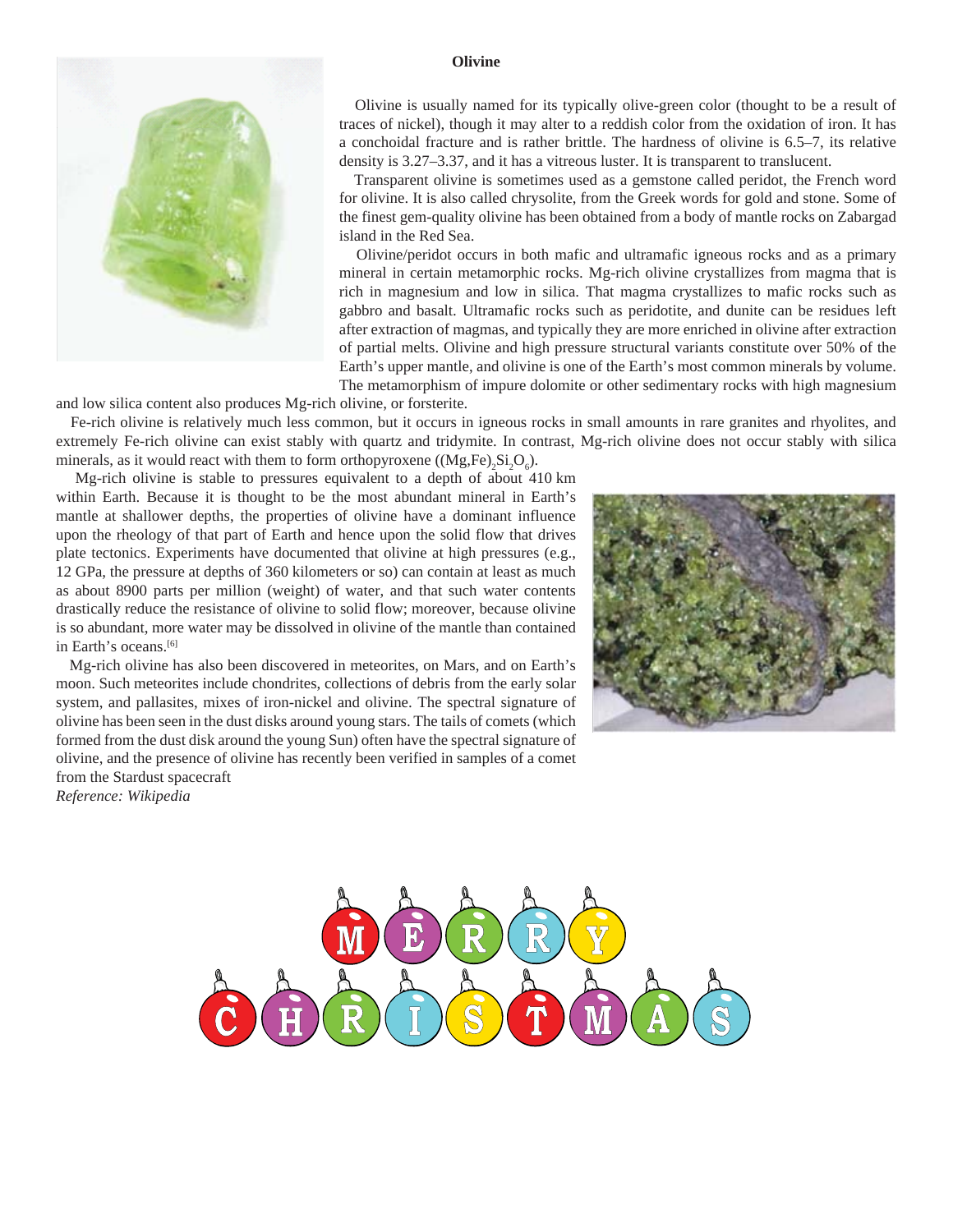

#### **Olivine**

 Olivine is usually named for its typically olive-green color (thought to be a result of traces of nickel), though it may alter to a reddish color from the oxidation of iron. It has a conchoidal fracture and is rather brittle. The hardness of olivine is 6.5–7, its relative density is 3.27–3.37, and it has a vitreous luster. It is transparent to translucent.

 Transparent olivine is sometimes used as a gemstone called peridot, the French word for olivine. It is also called chrysolite, from the Greek words for gold and stone. Some of the finest gem-quality olivine has been obtained from a body of mantle rocks on Zabargad island in the Red Sea.

 Olivine/peridot occurs in both mafic and ultramafic igneous rocks and as a primary mineral in certain metamorphic rocks. Mg-rich olivine crystallizes from magma that is rich in magnesium and low in silica. That magma crystallizes to mafic rocks such as gabbro and basalt. Ultramafic rocks such as peridotite, and dunite can be residues left after extraction of magmas, and typically they are more enriched in olivine after extraction of partial melts. Olivine and high pressure structural variants constitute over 50% of the Earth's upper mantle, and olivine is one of the Earth's most common minerals by volume. The metamorphism of impure dolomite or other sedimentary rocks with high magnesium

and low silica content also produces Mg-rich olivine, or forsterite.

 Fe-rich olivine is relatively much less common, but it occurs in igneous rocks in small amounts in rare granites and rhyolites, and extremely Fe-rich olivine can exist stably with quartz and tridymite. In contrast, Mg-rich olivine does not occur stably with silica minerals, as it would react with them to form orthopyroxene  $((Mg, Fe)_2Si_2O_6)$ .

 Mg-rich olivine is stable to pressures equivalent to a depth of about 410 km within Earth. Because it is thought to be the most abundant mineral in Earth's mantle at shallower depths, the properties of olivine have a dominant influence upon the rheology of that part of Earth and hence upon the solid flow that drives plate tectonics. Experiments have documented that olivine at high pressures (e.g., 12 GPa, the pressure at depths of 360 kilometers or so) can contain at least as much as about 8900 parts per million (weight) of water, and that such water contents drastically reduce the resistance of olivine to solid flow; moreover, because olivine is so abundant, more water may be dissolved in olivine of the mantle than contained in Earth's oceans.[6]

 Mg-rich olivine has also been discovered in meteorites, on Mars, and on Earth's moon. Such meteorites include chondrites, collections of debris from the early solar system, and pallasites, mixes of iron-nickel and olivine. The spectral signature of olivine has been seen in the dust disks around young stars. The tails of comets (which formed from the dust disk around the young Sun) often have the spectral signature of olivine, and the presence of olivine has recently been verified in samples of a comet from the Stardust spacecraft *Reference: Wikipedia*



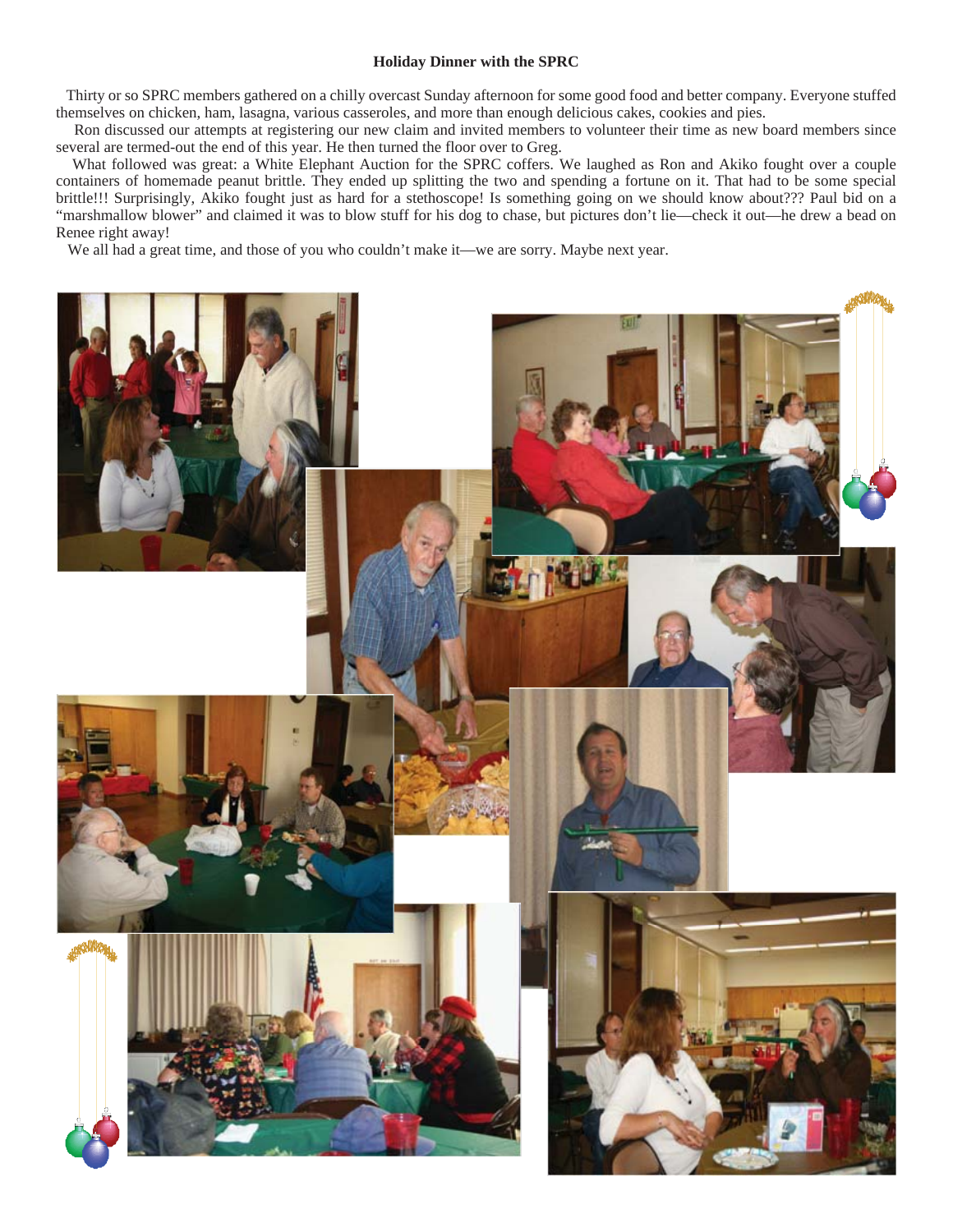#### **Holiday Dinner with the SPRC**

 Thirty or so SPRC members gathered on a chilly overcast Sunday afternoon for some good food and better company. Everyone stuffed themselves on chicken, ham, lasagna, various casseroles, and more than enough delicious cakes, cookies and pies.

 Ron discussed our attempts at registering our new claim and invited members to volunteer their time as new board members since several are termed-out the end of this year. He then turned the floor over to Greg.

 What followed was great: a White Elephant Auction for the SPRC coffers. We laughed as Ron and Akiko fought over a couple containers of homemade peanut brittle. They ended up splitting the two and spending a fortune on it. That had to be some special brittle!!! Surprisingly, Akiko fought just as hard for a stethoscope! Is something going on we should know about??? Paul bid on a "marshmallow blower" and claimed it was to blow stuff for his dog to chase, but pictures don't lie—check it out—he drew a bead on Renee right away!

We all had a great time, and those of you who couldn't make it—we are sorry. Maybe next year.

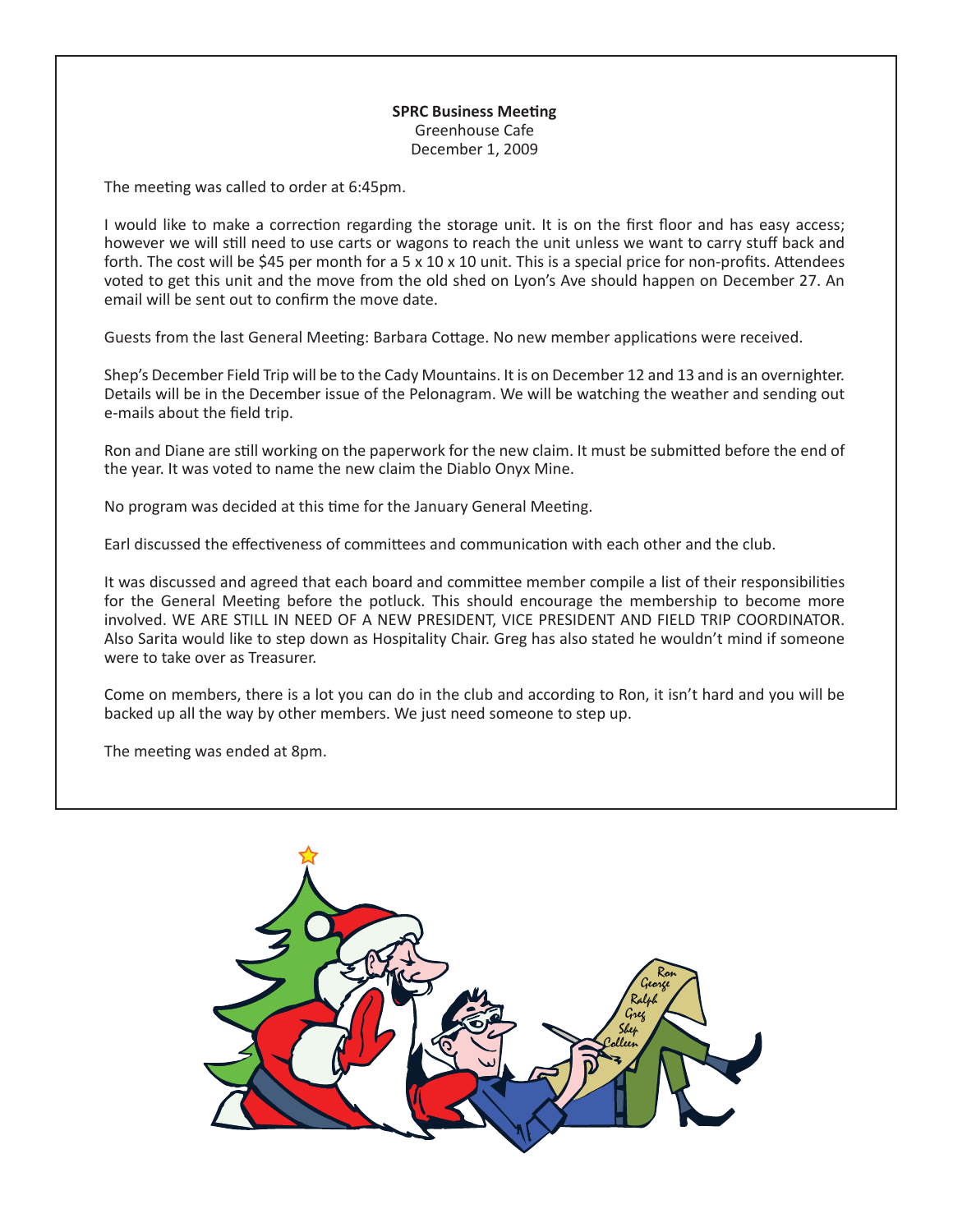## **SPRC Business Meeting** Greenhouse Cafe December 1, 2009

The meeting was called to order at 6:45pm.

I would like to make a correction regarding the storage unit. It is on the first floor and has easy access; however we will still need to use carts or wagons to reach the unit unless we want to carry stuff back and forth. The cost will be \$45 per month for a  $5 \times 10 \times 10$  unit. This is a special price for non-profits. Attendees voted to get this unit and the move from the old shed on Lyon's Ave should happen on December 27. An email will be sent out to confirm the move date.

Guests from the last General Meeting: Barbara Cottage. No new member applications were received.

Shep's December Field Trip will be to the Cady Mountains. It is on December 12 and 13 and is an overnighter. Details will be in the December issue of the Pelonagram. We will be watching the weather and sending out e-mails about the field trip.

Ron and Diane are still working on the paperwork for the new claim. It must be submitted before the end of the year. It was voted to name the new claim the Diablo Onyx Mine.

No program was decided at this time for the January General Meeting.

Earl discussed the effectiveness of committees and communication with each other and the club.

It was discussed and agreed that each board and committee member compile a list of their responsibilities for the General Meeting before the potluck. This should encourage the membership to become more involved. WE ARE STILL IN NEED OF A NEW PRESIDENT, VICE PRESIDENT AND FIELD TRIP COORDINATOR. Also Sarita would like to step down as Hospitality Chair. Greg has also stated he wouldn't mind if someone were to take over as Treasurer.

Come on members, there is a lot you can do in the club and according to Ron, it isn't hard and you will be backed up all the way by other members. We just need someone to step up.

The meeting was ended at 8pm.